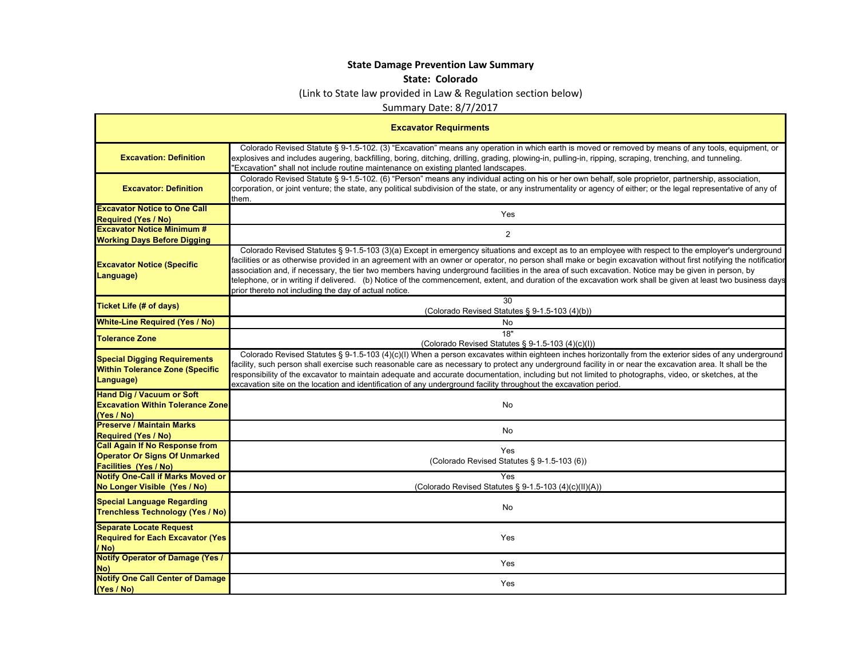## **State Damage Prevention Law Summary**

## **State: Colorado**

(Link to State law provided in Law & Regulation section below)

Summary Date: 8/7/2017

| <b>Excavator Requirments</b>                                                                                  |                                                                                                                                                                                                                                                                                                                                                                                                                                                                                                                                                                                                                                                                                                         |  |
|---------------------------------------------------------------------------------------------------------------|---------------------------------------------------------------------------------------------------------------------------------------------------------------------------------------------------------------------------------------------------------------------------------------------------------------------------------------------------------------------------------------------------------------------------------------------------------------------------------------------------------------------------------------------------------------------------------------------------------------------------------------------------------------------------------------------------------|--|
| <b>Excavation: Definition</b>                                                                                 | Colorado Revised Statute § 9-1.5-102. (3) "Excavation" means any operation in which earth is moved or removed by means of any tools, equipment, or<br>explosives and includes augering, backfilling, boring, ditching, drilling, grading, plowing-in, pulling-in, ripping, scraping, trenching, and tunneling.<br>"Excavation" shall not include routine maintenance on existing planted landscapes.                                                                                                                                                                                                                                                                                                    |  |
| <b>Excavator: Definition</b>                                                                                  | Colorado Revised Statute § 9-1.5-102. (6) "Person" means any individual acting on his or her own behalf, sole proprietor, partnership, association,<br>corporation, or joint venture; the state, any political subdivision of the state, or any instrumentality or agency of either; or the legal representative of any of<br>them.                                                                                                                                                                                                                                                                                                                                                                     |  |
| <b>Excavator Notice to One Call</b><br><b>Required (Yes / No)</b>                                             | Yes                                                                                                                                                                                                                                                                                                                                                                                                                                                                                                                                                                                                                                                                                                     |  |
| <b>Excavator Notice Minimum #</b><br><b>Working Days Before Digging</b>                                       | 2                                                                                                                                                                                                                                                                                                                                                                                                                                                                                                                                                                                                                                                                                                       |  |
| <b>Excavator Notice (Specific</b><br>Language)                                                                | Colorado Revised Statutes § 9-1.5-103 (3)(a) Except in emergency situations and except as to an employee with respect to the employer's underground<br>facilities or as otherwise provided in an agreement with an owner or operator, no person shall make or begin excavation without first notifying the notificatior<br>association and, if necessary, the tier two members having underground facilities in the area of such excavation. Notice may be given in person, by<br>telephone, or in writing if delivered. (b) Notice of the commencement, extent, and duration of the excavation work shall be given at least two business days<br>prior thereto not including the day of actual notice. |  |
| <b>Ticket Life (# of days)</b>                                                                                | 30<br>(Colorado Revised Statutes § 9-1.5-103 (4)(b))                                                                                                                                                                                                                                                                                                                                                                                                                                                                                                                                                                                                                                                    |  |
| <b>White-Line Required (Yes / No)</b>                                                                         | No                                                                                                                                                                                                                                                                                                                                                                                                                                                                                                                                                                                                                                                                                                      |  |
| <b>Tolerance Zone</b>                                                                                         | 18"<br>(Colorado Revised Statutes § 9-1.5-103 (4)(c)(l))                                                                                                                                                                                                                                                                                                                                                                                                                                                                                                                                                                                                                                                |  |
| <b>Special Digging Requirements</b><br><b>Within Tolerance Zone (Specific</b><br>Language)                    | Colorado Revised Statutes § 9-1.5-103 (4)(c)(I) When a person excavates within eighteen inches horizontally from the exterior sides of any underground<br>facility, such person shall exercise such reasonable care as necessary to protect any underground facility in or near the excavation area. It shall be the<br>responsibility of the excavator to maintain adequate and accurate documentation, including but not limited to photographs, video, or sketches, at the<br>excavation site on the location and identification of any underground facility throughout the excavation period.                                                                                                       |  |
| <b>Hand Dig / Vacuum or Soft</b><br><b>Excavation Within Tolerance Zone</b><br>(Yes / No)                     | <b>No</b>                                                                                                                                                                                                                                                                                                                                                                                                                                                                                                                                                                                                                                                                                               |  |
| <b>Preserve / Maintain Marks</b><br><b>Required (Yes / No)</b>                                                | No                                                                                                                                                                                                                                                                                                                                                                                                                                                                                                                                                                                                                                                                                                      |  |
| <b>Call Again If No Response from</b><br><b>Operator Or Signs Of Unmarked</b><br><b>Facilities (Yes / No)</b> | <b>Yes</b><br>(Colorado Revised Statutes § 9-1.5-103 (6))                                                                                                                                                                                                                                                                                                                                                                                                                                                                                                                                                                                                                                               |  |
| <b>Notify One-Call if Marks Moved or</b><br>No Longer Visible (Yes / No)                                      | Yes<br>(Colorado Revised Statutes § 9-1.5-103 (4)(c)(II)(A))                                                                                                                                                                                                                                                                                                                                                                                                                                                                                                                                                                                                                                            |  |
| <b>Special Language Regarding</b><br><b>Trenchless Technology (Yes / No)</b>                                  | No                                                                                                                                                                                                                                                                                                                                                                                                                                                                                                                                                                                                                                                                                                      |  |
| <b>Separate Locate Request</b><br><b>Required for Each Excavator (Yes</b><br>/ No)                            | Yes                                                                                                                                                                                                                                                                                                                                                                                                                                                                                                                                                                                                                                                                                                     |  |
| <b>Notify Operator of Damage (Yes /</b><br>No)                                                                | Yes                                                                                                                                                                                                                                                                                                                                                                                                                                                                                                                                                                                                                                                                                                     |  |
| <b>Notify One Call Center of Damage</b><br>(Yes / No)                                                         | Yes                                                                                                                                                                                                                                                                                                                                                                                                                                                                                                                                                                                                                                                                                                     |  |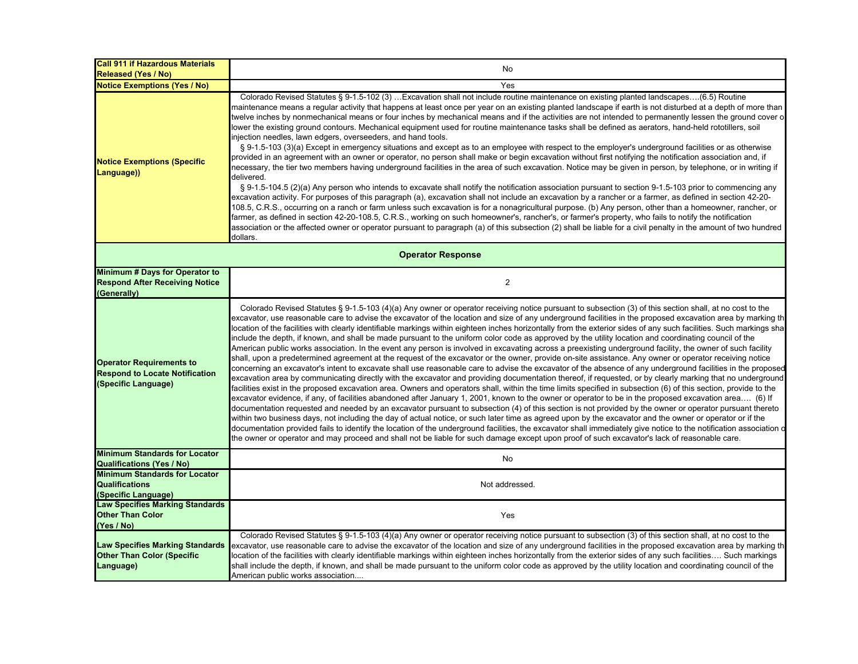| <b>Call 911 if Hazardous Materials</b><br><b>Released (Yes / No)</b>                            | No                                                                                                                                                                                                                                                                                                                                                                                                                                                                                                                                                                                                                                                                                                                                                                                                                                                                                                                                                                                                                                                                                                                                                                                                                                                                                                                                                                                                                                                                                                                                                                                                                                                                                                                                                                                                                                                                                                                                                                                                                                                                                                                                                                                                                                                                                    |  |
|-------------------------------------------------------------------------------------------------|---------------------------------------------------------------------------------------------------------------------------------------------------------------------------------------------------------------------------------------------------------------------------------------------------------------------------------------------------------------------------------------------------------------------------------------------------------------------------------------------------------------------------------------------------------------------------------------------------------------------------------------------------------------------------------------------------------------------------------------------------------------------------------------------------------------------------------------------------------------------------------------------------------------------------------------------------------------------------------------------------------------------------------------------------------------------------------------------------------------------------------------------------------------------------------------------------------------------------------------------------------------------------------------------------------------------------------------------------------------------------------------------------------------------------------------------------------------------------------------------------------------------------------------------------------------------------------------------------------------------------------------------------------------------------------------------------------------------------------------------------------------------------------------------------------------------------------------------------------------------------------------------------------------------------------------------------------------------------------------------------------------------------------------------------------------------------------------------------------------------------------------------------------------------------------------------------------------------------------------------------------------------------------------|--|
| <b>Notice Exemptions (Yes / No)</b>                                                             | Yes                                                                                                                                                                                                                                                                                                                                                                                                                                                                                                                                                                                                                                                                                                                                                                                                                                                                                                                                                                                                                                                                                                                                                                                                                                                                                                                                                                                                                                                                                                                                                                                                                                                                                                                                                                                                                                                                                                                                                                                                                                                                                                                                                                                                                                                                                   |  |
| <b>Notice Exemptions (Specific</b><br>Language))                                                | Colorado Revised Statutes § 9-1.5-102 (3) Excavation shall not include routine maintenance on existing planted landscapes(6.5) Routine<br>maintenance means a regular activity that happens at least once per year on an existing planted landscape if earth is not disturbed at a depth of more than<br>twelve inches by nonmechanical means or four inches by mechanical means and if the activities are not intended to permanently lessen the ground cover o<br>lower the existing ground contours. Mechanical equipment used for routine maintenance tasks shall be defined as aerators, hand-held rototillers, soil<br>injection needles, lawn edgers, overseeders, and hand tools.<br>§ 9-1.5-103 (3)(a) Except in emergency situations and except as to an employee with respect to the employer's underground facilities or as otherwise<br>provided in an agreement with an owner or operator, no person shall make or begin excavation without first notifying the notification association and, if<br>necessary, the tier two members having underground facilities in the area of such excavation. Notice may be given in person, by telephone, or in writing if<br>delivered.<br>$\S$ 9-1.5-104.5 (2)(a) Any person who intends to excavate shall notify the notification association pursuant to section 9-1.5-103 prior to commencing any<br>excavation activity. For purposes of this paragraph (a), excavation shall not include an excavation by a rancher or a farmer, as defined in section 42-20-<br>108.5, C.R.S., occurring on a ranch or farm unless such excavation is for a nonagricultural purpose. (b) Any person, other than a homeowner, rancher, or<br>farmer, as defined in section 42-20-108.5, C.R.S., working on such homeowner's, rancher's, or farmer's property, who fails to notify the notification<br>association or the affected owner or operator pursuant to paragraph (a) of this subsection (2) shall be liable for a civil penalty in the amount of two hundred<br>dollars.                                                                                                                                                                                                                                                           |  |
| <b>Operator Response</b>                                                                        |                                                                                                                                                                                                                                                                                                                                                                                                                                                                                                                                                                                                                                                                                                                                                                                                                                                                                                                                                                                                                                                                                                                                                                                                                                                                                                                                                                                                                                                                                                                                                                                                                                                                                                                                                                                                                                                                                                                                                                                                                                                                                                                                                                                                                                                                                       |  |
| Minimum # Days for Operator to<br><b>Respond After Receiving Notice</b><br>(Generally)          | $\overline{2}$                                                                                                                                                                                                                                                                                                                                                                                                                                                                                                                                                                                                                                                                                                                                                                                                                                                                                                                                                                                                                                                                                                                                                                                                                                                                                                                                                                                                                                                                                                                                                                                                                                                                                                                                                                                                                                                                                                                                                                                                                                                                                                                                                                                                                                                                        |  |
| <b>Operator Requirements to</b><br><b>Respond to Locate Notification</b><br>(Specific Language) | Colorado Revised Statutes § 9-1.5-103 (4)(a) Any owner or operator receiving notice pursuant to subsection (3) of this section shall, at no cost to the<br>excavator, use reasonable care to advise the excavator of the location and size of any underground facilities in the proposed excavation area by marking th<br>location of the facilities with clearly identifiable markings within eighteen inches horizontally from the exterior sides of any such facilities. Such markings sha<br>include the depth, if known, and shall be made pursuant to the uniform color code as approved by the utility location and coordinating council of the<br>American public works association. In the event any person is involved in excavating across a preexisting underground facility, the owner of such facility<br>shall, upon a predetermined agreement at the request of the excavator or the owner, provide on-site assistance. Any owner or operator receiving notice<br>concerning an excavator's intent to excavate shall use reasonable care to advise the excavator of the absence of any underground facilities in the proposed<br>excavation area by communicating directly with the excavator and providing documentation thereof, if requested, or by clearly marking that no underground<br>facilities exist in the proposed excavation area. Owners and operators shall, within the time limits specified in subsection (6) of this section, provide to the<br>excavator evidence, if any, of facilities abandoned after January 1, 2001, known to the owner or operator to be in the proposed excavation area (6) If<br>documentation requested and needed by an excavator pursuant to subsection (4) of this section is not provided by the owner or operator pursuant thereto<br>within two business days, not including the day of actual notice, or such later time as agreed upon by the excavator and the owner or operator or if the<br>documentation provided fails to identify the location of the underground facilities, the excavator shall immediately give notice to the notification association c<br>the owner or operator and may proceed and shall not be liable for such damage except upon proof of such excavator's lack of reasonable care. |  |
| <b>Minimum Standards for Locator</b><br><b>Qualifications (Yes / No)</b>                        | No                                                                                                                                                                                                                                                                                                                                                                                                                                                                                                                                                                                                                                                                                                                                                                                                                                                                                                                                                                                                                                                                                                                                                                                                                                                                                                                                                                                                                                                                                                                                                                                                                                                                                                                                                                                                                                                                                                                                                                                                                                                                                                                                                                                                                                                                                    |  |
| <b>Minimum Standards for Locator</b><br><b>Qualifications</b><br>(Specific Language)            | Not addressed.                                                                                                                                                                                                                                                                                                                                                                                                                                                                                                                                                                                                                                                                                                                                                                                                                                                                                                                                                                                                                                                                                                                                                                                                                                                                                                                                                                                                                                                                                                                                                                                                                                                                                                                                                                                                                                                                                                                                                                                                                                                                                                                                                                                                                                                                        |  |
| <b>Law Specifies Marking Standards</b><br><b>Other Than Color</b><br>(Yes / No)                 | Yes                                                                                                                                                                                                                                                                                                                                                                                                                                                                                                                                                                                                                                                                                                                                                                                                                                                                                                                                                                                                                                                                                                                                                                                                                                                                                                                                                                                                                                                                                                                                                                                                                                                                                                                                                                                                                                                                                                                                                                                                                                                                                                                                                                                                                                                                                   |  |
| <b>Law Specifies Marking Standards</b><br><b>Other Than Color (Specific</b><br>Language)        | Colorado Revised Statutes § 9-1.5-103 (4)(a) Any owner or operator receiving notice pursuant to subsection (3) of this section shall, at no cost to the<br>excavator, use reasonable care to advise the excavator of the location and size of any underground facilities in the proposed excavation area by marking th<br>location of the facilities with clearly identifiable markings within eighteen inches horizontally from the exterior sides of any such facilities Such markings<br>shall include the depth, if known, and shall be made pursuant to the uniform color code as approved by the utility location and coordinating council of the<br>American public works association                                                                                                                                                                                                                                                                                                                                                                                                                                                                                                                                                                                                                                                                                                                                                                                                                                                                                                                                                                                                                                                                                                                                                                                                                                                                                                                                                                                                                                                                                                                                                                                          |  |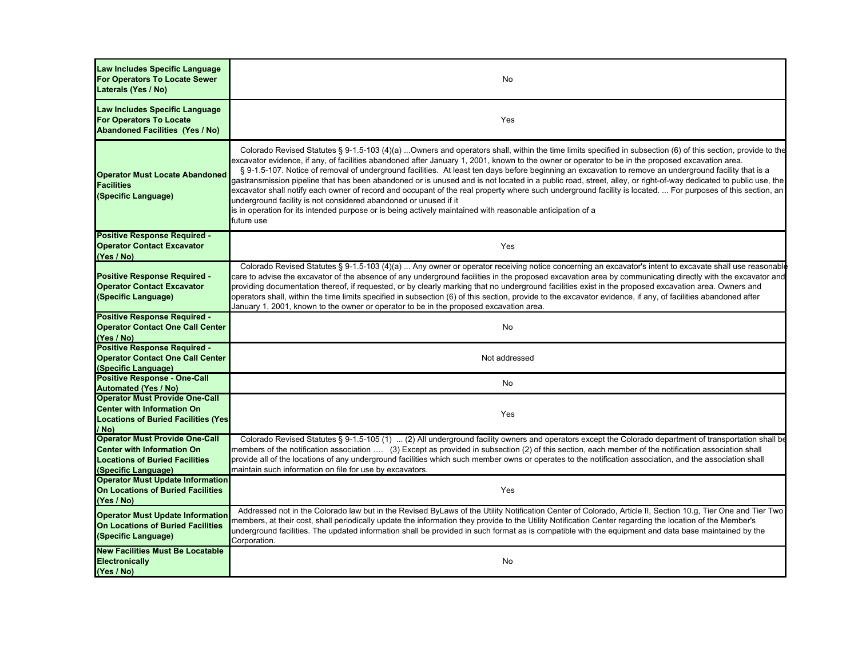| Law Includes Specific Language<br>For Operators To Locate Sewer<br>Laterals (Yes / No)                                                     | No                                                                                                                                                                                                                                                                                                                                                                                                                                                                                                                                                                                                                                                                                                                                                                                                                                                                                                                                                                                                         |
|--------------------------------------------------------------------------------------------------------------------------------------------|------------------------------------------------------------------------------------------------------------------------------------------------------------------------------------------------------------------------------------------------------------------------------------------------------------------------------------------------------------------------------------------------------------------------------------------------------------------------------------------------------------------------------------------------------------------------------------------------------------------------------------------------------------------------------------------------------------------------------------------------------------------------------------------------------------------------------------------------------------------------------------------------------------------------------------------------------------------------------------------------------------|
| Law Includes Specific Language<br><b>For Operators To Locate</b><br><b>Abandoned Facilities (Yes / No)</b>                                 | Yes                                                                                                                                                                                                                                                                                                                                                                                                                                                                                                                                                                                                                                                                                                                                                                                                                                                                                                                                                                                                        |
| <b>Operator Must Locate Abandoned</b><br><b>Facilities</b><br>(Specific Language)                                                          | Colorado Revised Statutes § 9-1.5-103 (4)(a) Owners and operators shall, within the time limits specified in subsection (6) of this section, provide to the<br>excavator evidence, if any, of facilities abandoned after January 1, 2001, known to the owner or operator to be in the proposed excavation area.<br>§ 9-1.5-107. Notice of removal of underground facilities. At least ten days before beginning an excavation to remove an underground facility that is a<br>gastransmission pipeline that has been abandoned or is unused and is not located in a public road, street, alley, or right-of-way dedicated to public use, the<br>excavator shall notify each owner of record and occupant of the real property where such underground facility is located.  For purposes of this section, an<br>underground facility is not considered abandoned or unused if it<br>is in operation for its intended purpose or is being actively maintained with reasonable anticipation of a<br>future use |
| <b>Positive Response Required -</b><br><b>Operator Contact Excavator</b><br>(Yes / No)                                                     | Yes                                                                                                                                                                                                                                                                                                                                                                                                                                                                                                                                                                                                                                                                                                                                                                                                                                                                                                                                                                                                        |
| <b>Positive Response Required -</b><br><b>Operator Contact Excavator</b><br>(Specific Language)                                            | Colorado Revised Statutes § 9-1.5-103 (4)(a)  Any owner or operator receiving notice concerning an excavator's intent to excavate shall use reasonable<br>care to advise the excavator of the absence of any underground facilities in the proposed excavation area by communicating directly with the excavator and<br>providing documentation thereof, if requested, or by clearly marking that no underground facilities exist in the proposed excavation area. Owners and<br>operators shall, within the time limits specified in subsection (6) of this section, provide to the excavator evidence, if any, of facilities abandoned after<br>January 1, 2001, known to the owner or operator to be in the proposed excavation area.                                                                                                                                                                                                                                                                   |
| <b>Positive Response Required -</b><br><b>Operator Contact One Call Center</b><br>(Yes / No)                                               | No                                                                                                                                                                                                                                                                                                                                                                                                                                                                                                                                                                                                                                                                                                                                                                                                                                                                                                                                                                                                         |
| <b>Positive Response Required -</b><br><b>Operator Contact One Call Center</b><br>(Specific Language)                                      | Not addressed                                                                                                                                                                                                                                                                                                                                                                                                                                                                                                                                                                                                                                                                                                                                                                                                                                                                                                                                                                                              |
| <b>Positive Response - One-Call</b><br><b>Automated (Yes / No)</b>                                                                         | No                                                                                                                                                                                                                                                                                                                                                                                                                                                                                                                                                                                                                                                                                                                                                                                                                                                                                                                                                                                                         |
| <b>Operator Must Provide One-Call</b><br><b>Center with Information On</b><br><b>Locations of Buried Facilities (Yes)</b><br>/ No)         | Yes                                                                                                                                                                                                                                                                                                                                                                                                                                                                                                                                                                                                                                                                                                                                                                                                                                                                                                                                                                                                        |
| <b>Operator Must Provide One-Call</b><br><b>Center with Information On</b><br><b>Locations of Buried Facilities</b><br>(Specific Language) | Colorado Revised Statutes § 9-1.5-105 (1)  (2) All underground facility owners and operators except the Colorado department of transportation shall be<br>members of the notification association  (3) Except as provided in subsection (2) of this section, each member of the notification association shall<br>provide all of the locations of any underground facilities which such member owns or operates to the notification association, and the association shall<br>maintain such information on file for use by excavators.                                                                                                                                                                                                                                                                                                                                                                                                                                                                     |
| <b>Operator Must Update Information</b><br>On Locations of Buried Facilities<br>(Yes / No)                                                 | Yes                                                                                                                                                                                                                                                                                                                                                                                                                                                                                                                                                                                                                                                                                                                                                                                                                                                                                                                                                                                                        |
| <b>Operator Must Update Information</b><br><b>On Locations of Buried Facilities</b><br>(Specific Language)                                 | Addressed not in the Colorado law but in the Revised ByLaws of the Utility Notification Center of Colorado, Article II, Section 10.g, Tier One and Tier Two<br>members, at their cost, shall periodically update the information they provide to the Utility Notification Center regarding the location of the Member's<br>underground facilities. The updated information shall be provided in such format as is compatible with the equipment and data base maintained by the<br>Corporation.                                                                                                                                                                                                                                                                                                                                                                                                                                                                                                            |
| <b>New Facilities Must Be Locatable</b><br><b>Electronically</b><br>(Yes / No)                                                             | No                                                                                                                                                                                                                                                                                                                                                                                                                                                                                                                                                                                                                                                                                                                                                                                                                                                                                                                                                                                                         |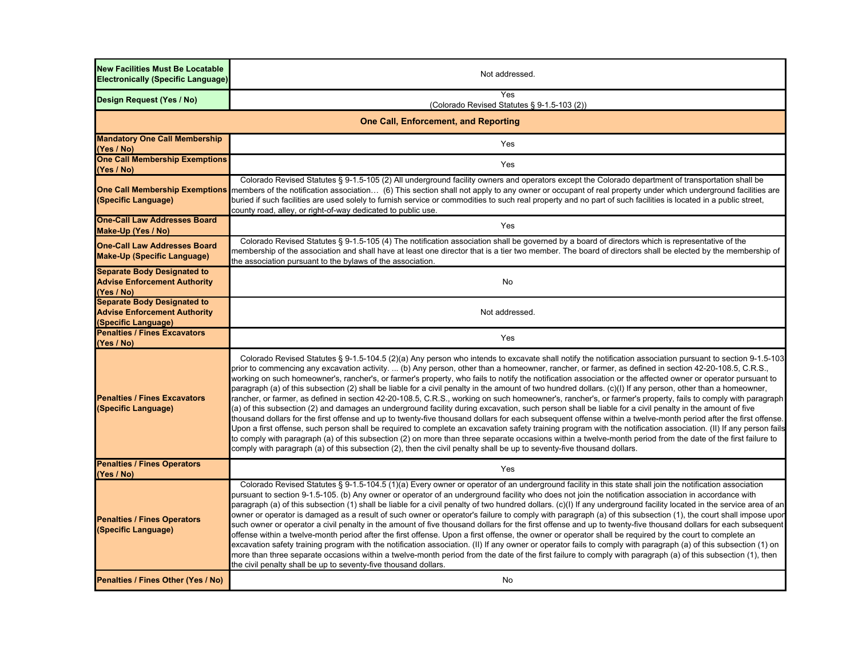| <b>New Facilities Must Be Locatable</b><br><b>Electronically (Specific Language)</b>             | Not addressed.                                                                                                                                                                                                                                                                                                                                                                                                                                                                                                                                                                                                                                                                                                                                                                                                                                                                                                                                                                                                                                                                                                                                                                                                                                                                                                                                                                                                                                                                                                                                                                                                |  |
|--------------------------------------------------------------------------------------------------|---------------------------------------------------------------------------------------------------------------------------------------------------------------------------------------------------------------------------------------------------------------------------------------------------------------------------------------------------------------------------------------------------------------------------------------------------------------------------------------------------------------------------------------------------------------------------------------------------------------------------------------------------------------------------------------------------------------------------------------------------------------------------------------------------------------------------------------------------------------------------------------------------------------------------------------------------------------------------------------------------------------------------------------------------------------------------------------------------------------------------------------------------------------------------------------------------------------------------------------------------------------------------------------------------------------------------------------------------------------------------------------------------------------------------------------------------------------------------------------------------------------------------------------------------------------------------------------------------------------|--|
| Design Request (Yes / No)                                                                        | Yes<br>(Colorado Revised Statutes § 9-1.5-103 (2))                                                                                                                                                                                                                                                                                                                                                                                                                                                                                                                                                                                                                                                                                                                                                                                                                                                                                                                                                                                                                                                                                                                                                                                                                                                                                                                                                                                                                                                                                                                                                            |  |
| <b>One Call, Enforcement, and Reporting</b>                                                      |                                                                                                                                                                                                                                                                                                                                                                                                                                                                                                                                                                                                                                                                                                                                                                                                                                                                                                                                                                                                                                                                                                                                                                                                                                                                                                                                                                                                                                                                                                                                                                                                               |  |
| <b>Mandatory One Call Membership</b><br>(Yes / No)                                               | Yes                                                                                                                                                                                                                                                                                                                                                                                                                                                                                                                                                                                                                                                                                                                                                                                                                                                                                                                                                                                                                                                                                                                                                                                                                                                                                                                                                                                                                                                                                                                                                                                                           |  |
| <b>One Call Membership Exemptions</b><br>(Yes / No)                                              | Yes                                                                                                                                                                                                                                                                                                                                                                                                                                                                                                                                                                                                                                                                                                                                                                                                                                                                                                                                                                                                                                                                                                                                                                                                                                                                                                                                                                                                                                                                                                                                                                                                           |  |
| <b>One Call Membership Exemptions</b><br>(Specific Language)                                     | Colorado Revised Statutes § 9-1.5-105 (2) All underground facility owners and operators except the Colorado department of transportation shall be<br>members of the notification association (6) This section shall not apply to any owner or occupant of real property under which underground facilities are<br>buried if such facilities are used solely to furnish service or commodities to such real property and no part of such facilities is located in a public street,<br>county road, alley, or right-of-way dedicated to public use.                                                                                                                                                                                                                                                                                                                                                                                                                                                                                                                                                                                                                                                                                                                                                                                                                                                                                                                                                                                                                                                             |  |
| <b>One-Call Law Addresses Board</b><br>Make-Up (Yes / No)                                        | Yes                                                                                                                                                                                                                                                                                                                                                                                                                                                                                                                                                                                                                                                                                                                                                                                                                                                                                                                                                                                                                                                                                                                                                                                                                                                                                                                                                                                                                                                                                                                                                                                                           |  |
| <b>One-Call Law Addresses Board</b><br><b>Make-Up (Specific Language)</b>                        | Colorado Revised Statutes § 9-1.5-105 (4) The notification association shall be governed by a board of directors which is representative of the<br>membership of the association and shall have at least one director that is a tier two member. The board of directors shall be elected by the membership of<br>the association pursuant to the bylaws of the association.                                                                                                                                                                                                                                                                                                                                                                                                                                                                                                                                                                                                                                                                                                                                                                                                                                                                                                                                                                                                                                                                                                                                                                                                                                   |  |
| <b>Separate Body Designated to</b><br><b>Advise Enforcement Authority</b><br>(Yes / No)          | No                                                                                                                                                                                                                                                                                                                                                                                                                                                                                                                                                                                                                                                                                                                                                                                                                                                                                                                                                                                                                                                                                                                                                                                                                                                                                                                                                                                                                                                                                                                                                                                                            |  |
| <b>Separate Body Designated to</b><br><b>Advise Enforcement Authority</b><br>(Specific Language) | Not addressed.                                                                                                                                                                                                                                                                                                                                                                                                                                                                                                                                                                                                                                                                                                                                                                                                                                                                                                                                                                                                                                                                                                                                                                                                                                                                                                                                                                                                                                                                                                                                                                                                |  |
| <b>Penalties / Fines Excavators</b><br>(Yes / No)                                                | Yes                                                                                                                                                                                                                                                                                                                                                                                                                                                                                                                                                                                                                                                                                                                                                                                                                                                                                                                                                                                                                                                                                                                                                                                                                                                                                                                                                                                                                                                                                                                                                                                                           |  |
| <b>Penalties / Fines Excavators</b><br>(Specific Language)                                       | Colorado Revised Statutes § 9-1.5-104.5 (2)(a) Any person who intends to excavate shall notify the notification association pursuant to section 9-1.5-103<br>prior to commencing any excavation activity.  (b) Any person, other than a homeowner, rancher, or farmer, as defined in section 42-20-108.5, C.R.S.,<br>working on such homeowner's, rancher's, or farmer's property, who fails to notify the notification association or the affected owner or operator pursuant to<br>paragraph (a) of this subsection (2) shall be liable for a civil penalty in the amount of two hundred dollars. (c)(I) If any person, other than a homeowner,<br>rancher, or farmer, as defined in section 42-20-108.5, C.R.S., working on such homeowner's, rancher's, or farmer's property, fails to comply with paragraph<br>(a) of this subsection (2) and damages an underground facility during excavation, such person shall be liable for a civil penalty in the amount of five<br>thousand dollars for the first offense and up to twenty-five thousand dollars for each subsequent offense within a twelve-month period after the first offense.<br>Upon a first offense, such person shall be required to complete an excavation safety training program with the notification association. (II) If any person fails<br>to comply with paragraph (a) of this subsection (2) on more than three separate occasions within a twelve-month period from the date of the first failure to<br>comply with paragraph (a) of this subsection (2), then the civil penalty shall be up to seventy-five thousand dollars. |  |
| <b>Penalties / Fines Operators</b><br>(Yes / No)                                                 | Yes                                                                                                                                                                                                                                                                                                                                                                                                                                                                                                                                                                                                                                                                                                                                                                                                                                                                                                                                                                                                                                                                                                                                                                                                                                                                                                                                                                                                                                                                                                                                                                                                           |  |
| <b>Penalties / Fines Operators</b><br>(Specific Language)                                        | Colorado Revised Statutes § 9-1.5-104.5 (1)(a) Every owner or operator of an underground facility in this state shall join the notification association<br>pursuant to section 9-1.5-105. (b) Any owner or operator of an underground facility who does not join the notification association in accordance with<br>paragraph (a) of this subsection (1) shall be liable for a civil penalty of two hundred dollars. (c)(I) If any underground facility located in the service area of an<br>owner or operator is damaged as a result of such owner or operator's failure to comply with paragraph (a) of this subsection (1), the court shall impose upor<br>such owner or operator a civil penalty in the amount of five thousand dollars for the first offense and up to twenty-five thousand dollars for each subsequent<br>offense within a twelve-month period after the first offense. Upon a first offense, the owner or operator shall be required by the court to complete an<br>excavation safety training program with the notification association. (II) If any owner or operator fails to comply with paragraph (a) of this subsection (1) on<br>more than three separate occasions within a twelve-month period from the date of the first failure to comply with paragraph (a) of this subsection (1), then<br>the civil penalty shall be up to seventy-five thousand dollars.                                                                                                                                                                                                                |  |
| Penalties / Fines Other (Yes / No)                                                               | No                                                                                                                                                                                                                                                                                                                                                                                                                                                                                                                                                                                                                                                                                                                                                                                                                                                                                                                                                                                                                                                                                                                                                                                                                                                                                                                                                                                                                                                                                                                                                                                                            |  |